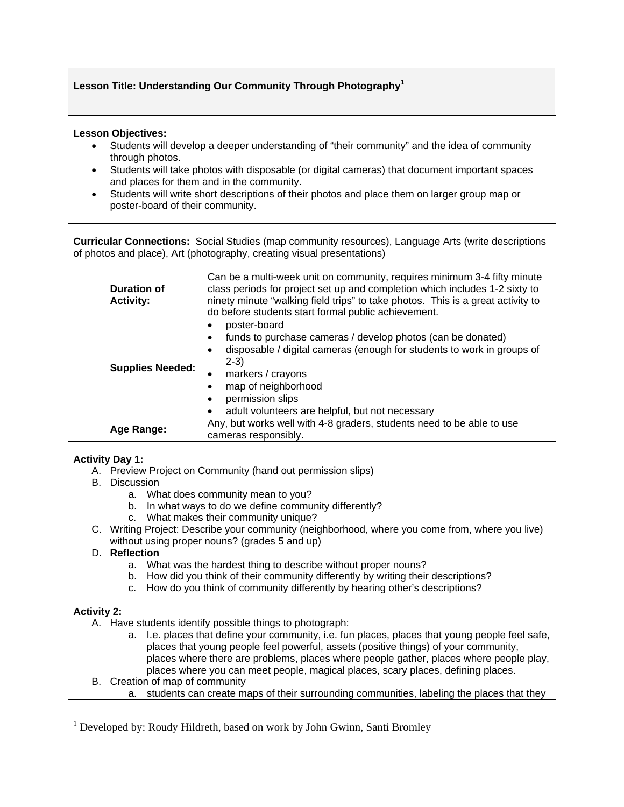# **Lesson Title: Understanding Our Community Through Photography1**

#### **Lesson Objectives:**

- Students will develop a deeper understanding of "their community" and the idea of community through photos.
- Students will take photos with disposable (or digital cameras) that document important spaces and places for them and in the community.
- Students will write short descriptions of their photos and place them on larger group map or poster-board of their community.

**Curricular Connections:** Social Studies (map community resources), Language Arts (write descriptions of photos and place), Art (photography, creating visual presentations)

| Duration of<br><b>Activity:</b> | Can be a multi-week unit on community, requires minimum 3-4 fifty minute<br>class periods for project set up and completion which includes 1-2 sixty to<br>ninety minute "walking field trips" to take photos. This is a great activity to<br>do before students start formal public achievement. |
|---------------------------------|---------------------------------------------------------------------------------------------------------------------------------------------------------------------------------------------------------------------------------------------------------------------------------------------------|
| <b>Supplies Needed:</b>         | poster-board<br>funds to purchase cameras / develop photos (can be donated)<br>٠<br>disposable / digital cameras (enough for students to work in groups of<br>$2-3)$<br>markers / crayons<br>٠<br>map of neighborhood<br>permission slips<br>adult volunteers are helpful, but not necessary      |
| Age Range:                      | Any, but works well with 4-8 graders, students need to be able to use<br>cameras responsibly.                                                                                                                                                                                                     |

## **Activity Day 1:**

- A. Preview Project on Community (hand out permission slips)
- B. Discussion
	- a. What does community mean to you?
	- b. In what ways to do we define community differently?
	- c. What makes their community unique?
- C. Writing Project: Describe your community (neighborhood, where you come from, where you live) without using proper nouns? (grades 5 and up)

#### D. **Reflection**

- a. What was the hardest thing to describe without proper nouns?
- b. How did you think of their community differently by writing their descriptions?
- c. How do you think of community differently by hearing other's descriptions?

## **Activity 2:**

 $\overline{a}$ 

- A. Have students identify possible things to photograph:
	- a. I.e. places that define your community, i.e. fun places, places that young people feel safe, places that young people feel powerful, assets (positive things) of your community, places where there are problems, places where people gather, places where people play, places where you can meet people, magical places, scary places, defining places.
- B. Creation of map of community
	- a. students can create maps of their surrounding communities, labeling the places that they

<sup>&</sup>lt;sup>1</sup> Developed by: Roudy Hildreth, based on work by John Gwinn, Santi Bromley